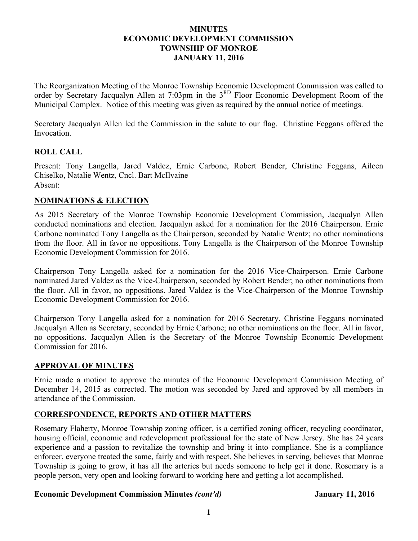### **MINUTES ECONOMIC DEVELOPMENT COMMISSION TOWNSHIP OF MONROE JANUARY 11, 2016**

The Reorganization Meeting of the Monroe Township Economic Development Commission was called to order by Secretary Jacqualyn Allen at 7:03pm in the 3<sup>RD</sup> Floor Economic Development Room of the Municipal Complex. Notice of this meeting was given as required by the annual notice of meetings.

Secretary Jacqualyn Allen led the Commission in the salute to our flag. Christine Feggans offered the Invocation.

# **ROLL CALL**

Present: Tony Langella, Jared Valdez, Ernie Carbone, Robert Bender, Christine Feggans, Aileen Chiselko, Natalie Wentz, Cncl. Bart McIlvaine Absent:

## **NOMINATIONS & ELECTION**

As 2015 Secretary of the Monroe Township Economic Development Commission, Jacqualyn Allen conducted nominations and election. Jacqualyn asked for a nomination for the 2016 Chairperson. Ernie Carbone nominated Tony Langella as the Chairperson, seconded by Natalie Wentz; no other nominations from the floor. All in favor no oppositions. Tony Langella is the Chairperson of the Monroe Township Economic Development Commission for 2016.

Chairperson Tony Langella asked for a nomination for the 2016 Vice-Chairperson. Ernie Carbone nominated Jared Valdez as the Vice-Chairperson, seconded by Robert Bender; no other nominations from the floor. All in favor, no oppositions. Jared Valdez is the Vice-Chairperson of the Monroe Township Economic Development Commission for 2016.

Chairperson Tony Langella asked for a nomination for 2016 Secretary. Christine Feggans nominated Jacqualyn Allen as Secretary, seconded by Ernie Carbone; no other nominations on the floor. All in favor, no oppositions. Jacqualyn Allen is the Secretary of the Monroe Township Economic Development Commission for 2016.

## **APPROVAL OF MINUTES**

Ernie made a motion to approve the minutes of the Economic Development Commission Meeting of December 14, 2015 as corrected. The motion was seconded by Jared and approved by all members in attendance of the Commission.

## **CORRESPONDENCE, REPORTS AND OTHER MATTERS**

Rosemary Flaherty, Monroe Township zoning officer, is a certified zoning officer, recycling coordinator, housing official, economic and redevelopment professional for the state of New Jersey. She has 24 years experience and a passion to revitalize the township and bring it into compliance. She is a compliance enforcer, everyone treated the same, fairly and with respect. She believes in serving, believes that Monroe Township is going to grow, it has all the arteries but needs someone to help get it done. Rosemary is a people person, very open and looking forward to working here and getting a lot accomplished.

#### Economic Development Commission Minutes *(cont'd)* January 11, 2016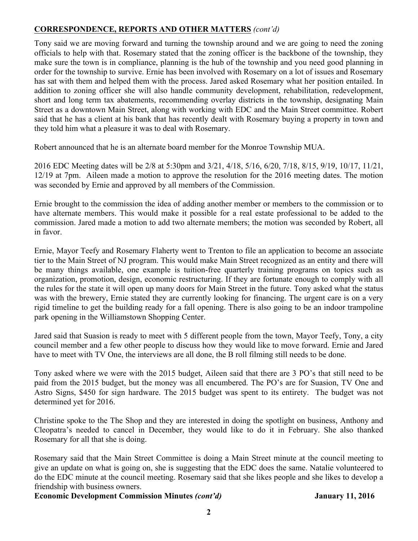# **CORRESPONDENCE, REPORTS AND OTHER MATTERS** *(cont'd)*

Tony said we are moving forward and turning the township around and we are going to need the zoning officials to help with that. Rosemary stated that the zoning officer is the backbone of the township, they make sure the town is in compliance, planning is the hub of the township and you need good planning in order for the township to survive. Ernie has been involved with Rosemary on a lot of issues and Rosemary has sat with them and helped them with the process. Jared asked Rosemary what her position entailed. In addition to zoning officer she will also handle community development, rehabilitation, redevelopment, short and long term tax abatements, recommending overlay districts in the township, designating Main Street as a downtown Main Street, along with working with EDC and the Main Street committee. Robert said that he has a client at his bank that has recently dealt with Rosemary buying a property in town and they told him what a pleasure it was to deal with Rosemary.

Robert announced that he is an alternate board member for the Monroe Township MUA.

2016 EDC Meeting dates will be 2/8 at 5:30pm and 3/21, 4/18, 5/16, 6/20, 7/18, 8/15, 9/19, 10/17, 11/21, 12/19 at 7pm. Aileen made a motion to approve the resolution for the 2016 meeting dates. The motion was seconded by Ernie and approved by all members of the Commission.

Ernie brought to the commission the idea of adding another member or members to the commission or to have alternate members. This would make it possible for a real estate professional to be added to the commission. Jared made a motion to add two alternate members; the motion was seconded by Robert, all in favor.

Ernie, Mayor Teefy and Rosemary Flaherty went to Trenton to file an application to become an associate tier to the Main Street of NJ program. This would make Main Street recognized as an entity and there will be many things available, one example is tuition-free quarterly training programs on topics such as organization, promotion, design, economic restructuring. If they are fortunate enough to comply with all the rules for the state it will open up many doors for Main Street in the future. Tony asked what the status was with the brewery, Ernie stated they are currently looking for financing. The urgent care is on a very rigid timeline to get the building ready for a fall opening. There is also going to be an indoor trampoline park opening in the Williamstown Shopping Center.

Jared said that Suasion is ready to meet with 5 different people from the town, Mayor Teefy, Tony, a city council member and a few other people to discuss how they would like to move forward. Ernie and Jared have to meet with TV One, the interviews are all done, the B roll filming still needs to be done.

Tony asked where we were with the 2015 budget, Aileen said that there are 3 PO's that still need to be paid from the 2015 budget, but the money was all encumbered. The PO's are for Suasion, TV One and Astro Signs, \$450 for sign hardware. The 2015 budget was spent to its entirety. The budget was not determined yet for 2016.

Christine spoke to the The Shop and they are interested in doing the spotlight on business, Anthony and Cleopatra's needed to cancel in December, they would like to do it in February. She also thanked Rosemary for all that she is doing.

Rosemary said that the Main Street Committee is doing a Main Street minute at the council meeting to give an update on what is going on, she is suggesting that the EDC does the same. Natalie volunteered to do the EDC minute at the council meeting. Rosemary said that she likes people and she likes to develop a friendship with business owners.

**Economic Development Commission Minutes** *(cont'd)* **January 11, 2016**